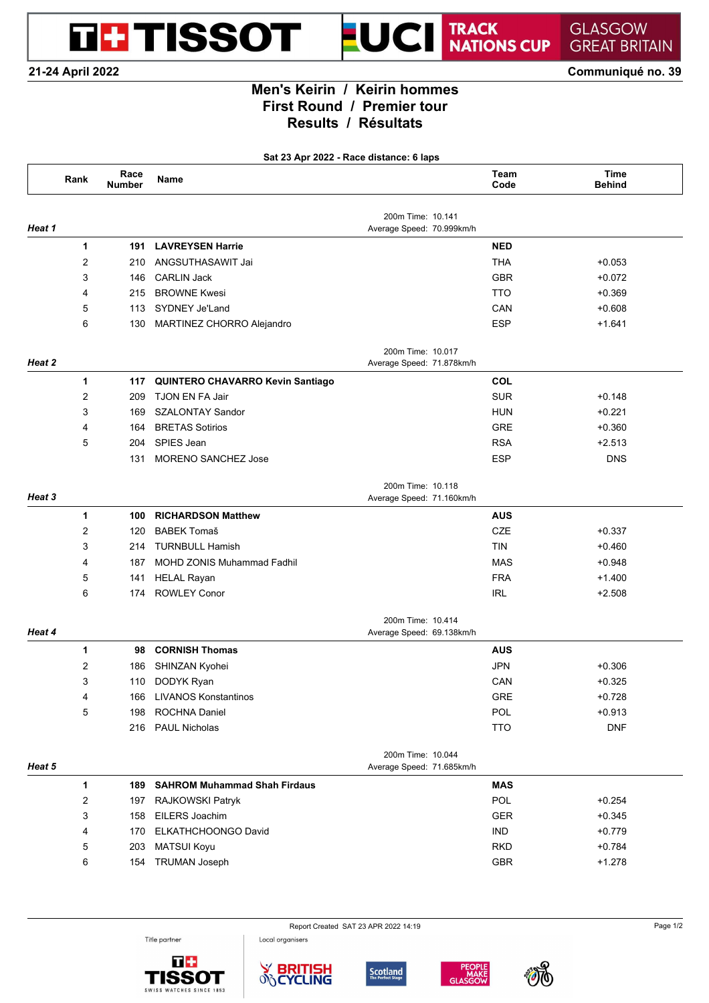**DE TISSOT** 

### TRACK<br>NATIONS CUP **GLASGOW GREAT BRITAIN**

**21-24 April 2022 Communiqué no. 39**

# **Men's Keirin / Keirin hommes First Round / Premier tour Results / Résultats**

UCI

T

**Sat 23 Apr 2022 - Race distance: 6 laps**

|        | Rank             | Race<br><b>Number</b> | Name                                |                                                | Team<br>Code | <b>Time</b><br><b>Behind</b> |
|--------|------------------|-----------------------|-------------------------------------|------------------------------------------------|--------------|------------------------------|
| Heat 1 |                  |                       |                                     | 200m Time: 10.141<br>Average Speed: 70.999km/h |              |                              |
|        | 1                | 191                   | <b>LAVREYSEN Harrie</b>             |                                                | <b>NED</b>   |                              |
|        | $\overline{2}$   | 210                   | ANGSUTHASAWIT Jai                   |                                                | <b>THA</b>   | $+0.053$                     |
|        | 3                | 146                   | <b>CARLIN Jack</b>                  |                                                | <b>GBR</b>   | $+0.072$                     |
|        | 4                | 215                   | <b>BROWNE Kwesi</b>                 |                                                | <b>TTO</b>   | $+0.369$                     |
|        | 5                | 113                   | SYDNEY Je'Land                      |                                                | CAN          | $+0.608$                     |
|        | 6                | 130                   | MARTINEZ CHORRO Alejandro           |                                                | <b>ESP</b>   | $+1.641$                     |
| Heat 2 |                  |                       |                                     | 200m Time: 10.017<br>Average Speed: 71.878km/h |              |                              |
|        | 1                | 117                   | QUINTERO CHAVARRO Kevin Santiago    |                                                | COL          |                              |
|        | $\overline{2}$   | 209                   | TJON EN FA Jair                     |                                                | <b>SUR</b>   | $+0.148$                     |
|        | 3                | 169                   | <b>SZALONTAY Sandor</b>             |                                                | <b>HUN</b>   | $+0.221$                     |
|        | 4                | 164                   | <b>BRETAS Sotirios</b>              |                                                | <b>GRE</b>   | $+0.360$                     |
|        | 5                | 204                   | SPIES Jean                          |                                                | <b>RSA</b>   | $+2.513$                     |
|        |                  | 131                   | MORENO SANCHEZ Jose                 |                                                | <b>ESP</b>   | <b>DNS</b>                   |
| Heat 3 |                  |                       |                                     | 200m Time: 10.118<br>Average Speed: 71.160km/h |              |                              |
|        | 1                | 100                   | <b>RICHARDSON Matthew</b>           |                                                | <b>AUS</b>   |                              |
|        | $\overline{2}$   | 120                   | <b>BABEK Tomaš</b>                  |                                                | <b>CZE</b>   | $+0.337$                     |
|        | 3                | 214                   | <b>TURNBULL Hamish</b>              |                                                | <b>TIN</b>   | $+0.460$                     |
|        | 4                | 187                   | MOHD ZONIS Muhammad Fadhil          |                                                | <b>MAS</b>   | $+0.948$                     |
|        | 5                | 141                   | <b>HELAL Rayan</b>                  |                                                | <b>FRA</b>   | $+1.400$                     |
|        | 6                | 174                   | <b>ROWLEY Conor</b>                 |                                                | <b>IRL</b>   | $+2.508$                     |
| Heat 4 |                  |                       |                                     | 200m Time: 10.414<br>Average Speed: 69.138km/h |              |                              |
|        | 1                | 98                    | <b>CORNISH Thomas</b>               |                                                | <b>AUS</b>   |                              |
|        | $\overline{2}$   | 186                   | SHINZAN Kyohei                      |                                                | <b>JPN</b>   | $+0.306$                     |
|        | 3                | 110                   | DODYK Ryan                          |                                                | CAN          | $+0.325$                     |
|        | 4                | 166                   | <b>LIVANOS Konstantinos</b>         |                                                | <b>GRE</b>   | $+0.728$                     |
|        | 5                | 198                   | ROCHNA Daniel                       |                                                | POL          | $+0.913$                     |
|        |                  | 216                   | <b>PAUL Nicholas</b>                |                                                | <b>TTO</b>   | <b>DNF</b>                   |
| Heat 5 |                  |                       |                                     | 200m Time: 10.044<br>Average Speed: 71.685km/h |              |                              |
|        | 1                | 189                   | <b>SAHROM Muhammad Shah Firdaus</b> |                                                | <b>MAS</b>   |                              |
|        | $\boldsymbol{2}$ | 197                   | RAJKOWSKI Patryk                    |                                                | POL          | $+0.254$                     |
|        | 3                | 158                   | EILERS Joachim                      |                                                | <b>GER</b>   | $+0.345$                     |
|        | 4                | 170                   | ELKATHCHOONGO David                 |                                                | <b>IND</b>   | $+0.779$                     |
|        | 5                | 203                   | <b>MATSUI Koyu</b>                  |                                                | <b>RKD</b>   | $+0.784$                     |
|        |                  |                       |                                     |                                                |              |                              |

Title partner





Local organisers







Report Created SAT 23 APR 2022 14:19 Page 1/2